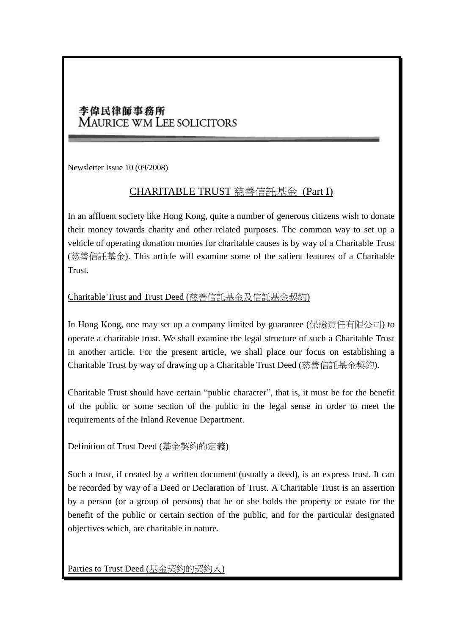# 李偉民律師事務所 **MAURICE WM LEE SOLICITORS**

Newsletter Issue 10 (09/2008)

## CHARITABLE TRUST 慈善信託基金 (Part I)

In an affluent society like Hong Kong, quite a number of generous citizens wish to donate their money towards charity and other related purposes. The common way to set up a vehicle of operating donation monies for charitable causes is by way of a Charitable Trust (慈善信託基金). This article will examine some of the salient features of a Charitable Trust.

### Charitable Trust and Trust Deed (慈善信託基金及信託基金契約)

In Hong Kong, one may set up a company limited by guarantee (保證責任有限公司) to operate a charitable trust. We shall examine the legal structure of such a Charitable Trust in another article. For the present article, we shall place our focus on establishing a Charitable Trust by way of drawing up a Charitable Trust Deed (慈善信託基金契約).

Charitable Trust should have certain "public character", that is, it must be for the benefit of the public or some section of the public in the legal sense in order to meet the requirements of the Inland Revenue Department.

Definition of Trust Deed (基金契約的定義)

Such a trust, if created by a written document (usually a deed), is an express trust. It can be recorded by way of a Deed or Declaration of Trust. A Charitable Trust is an assertion by a person (or a group of persons) that he or she holds the property or estate for the benefit of the public or certain section of the public, and for the particular designated objectives which, are charitable in nature.

Parties to Trust Deed (基金契約的契約人)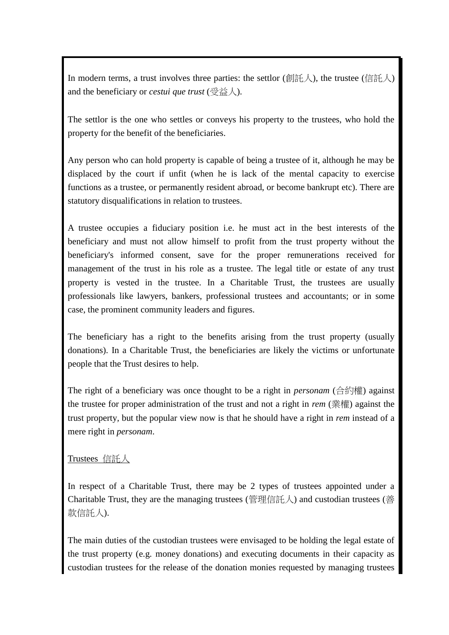In modern terms, a trust involves three parties: the settlor (創託人), the trustee (信託人) and the beneficiary or *cestui que trust* (受益人).

The settlor is the one who settles or conveys his property to the trustees, who hold the property for the benefit of the beneficiaries.

Any person who can hold property is capable of being a trustee of it, although he may be displaced by the court if unfit (when he is lack of the mental capacity to exercise functions as a trustee, or permanently resident abroad, or become bankrupt etc). There are statutory disqualifications in relation to trustees.

A trustee occupies a fiduciary position i.e. he must act in the best interests of the beneficiary and must not allow himself to profit from the trust property without the beneficiary's informed consent, save for the proper remunerations received for management of the trust in his role as a trustee. The legal title or estate of any trust property is vested in the trustee. In a Charitable Trust, the trustees are usually professionals like lawyers, bankers, professional trustees and accountants; or in some case, the prominent community leaders and figures.

The beneficiary has a right to the benefits arising from the trust property (usually donations). In a Charitable Trust, the beneficiaries are likely the victims or unfortunate people that the Trust desires to help.

The right of a beneficiary was once thought to be a right in *personam* (合約權) against the trustee for proper administration of the trust and not a right in *rem* (業權) against the trust property*,* but the popular view now is that he should have a right in *rem* instead of a mere right in *personam*.

#### Trustees 信託人

In respect of a Charitable Trust, there may be 2 types of trustees appointed under a Charitable Trust, they are the managing trustees (管理信託人) and custodian trustees (善 款信託人).

The main duties of the custodian trustees were envisaged to be holding the legal estate of the trust property (e.g. money donations) and executing documents in their capacity as custodian trustees for the release of the donation monies requested by managing trustees